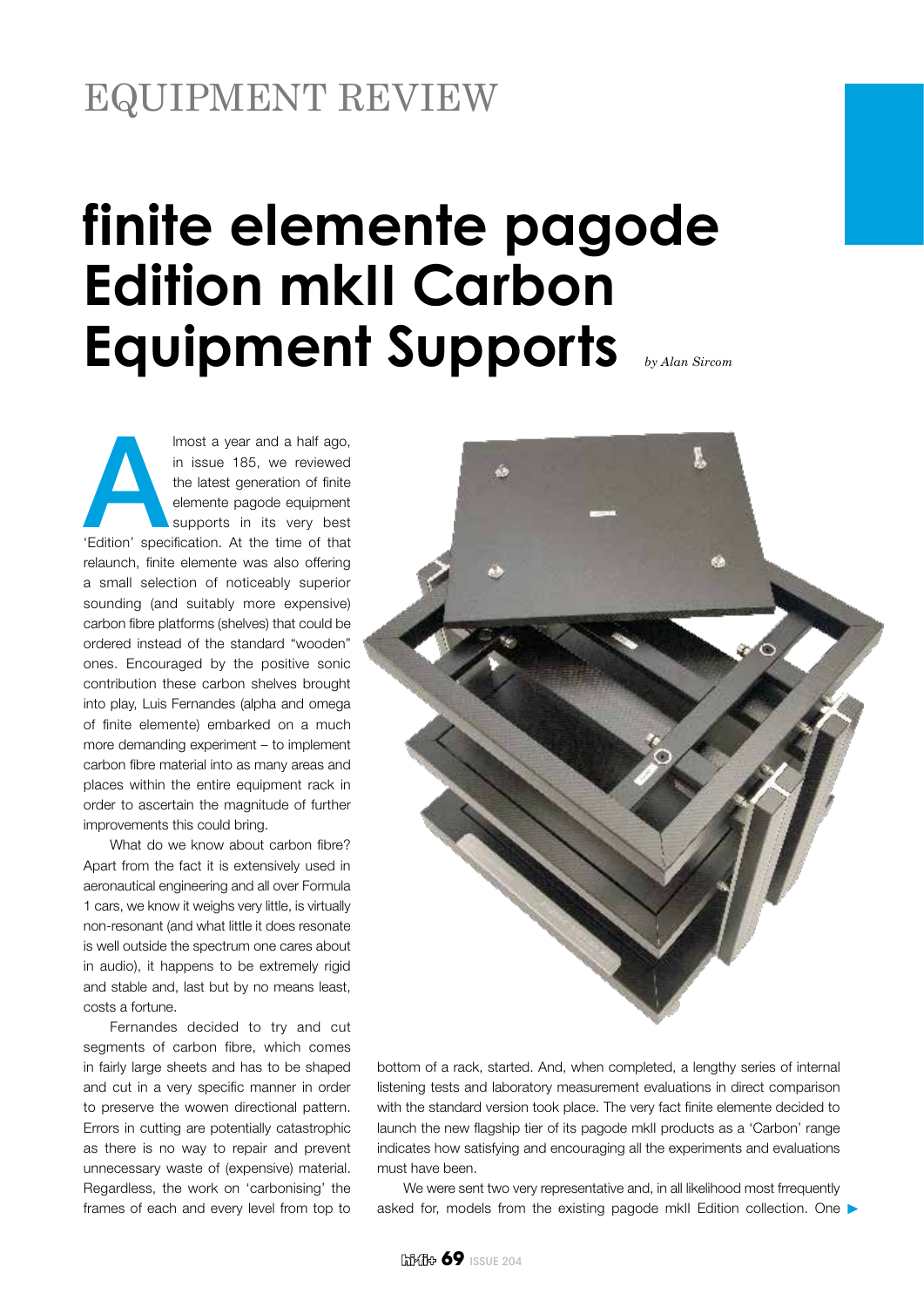## EQUIPMENT REVIEW

## **finite elemente pagode Edition mkII Carbon Equipment Supports** *by Alan Sircom*

Imost a year and a half ago,<br>
in issue 185, we reviewed<br>
the latest generation of finite<br>
elemente pagode equipment<br>
supports in its very best<br>
'Edition' specification. At the time of that in issue 185, we reviewed the latest generation of finite elemente pagode equipment supports in its very best relaunch, finite elemente was also offering a small selection of noticeably superior sounding (and suitably more expensive) carbon fibre platforms (shelves) that could be ordered instead of the standard "wooden" ones. Encouraged by the positive sonic contribution these carbon shelves brought into play, Luis Fernandes (alpha and omega of finite elemente) embarked on a much more demanding experiment – to implement carbon fibre material into as many areas and places within the entire equipment rack in order to ascertain the magnitude of further improvements this could bring.

What do we know about carbon fibre? Apart from the fact it is extensively used in aeronautical engineering and all over Formula 1 cars, we know it weighs very little, is virtually non-resonant (and what little it does resonate is well outside the spectrum one cares about in audio), it happens to be extremely rigid and stable and, last but by no means least, costs a fortune.

Fernandes decided to try and cut segments of carbon fibre, which comes in fairly large sheets and has to be shaped and cut in a very specific manner in order to preserve the wowen directional pattern. Errors in cutting are potentially catastrophic as there is no way to repair and prevent unnecessary waste of (expensive) material. Regardless, the work on 'carbonising' the frames of each and every level from top to



bottom of a rack, started. And, when completed, a lengthy series of internal listening tests and laboratory measurement evaluations in direct comparison with the standard version took place. The very fact finite elemente decided to launch the new flagship tier of its pagode mkII products as a 'Carbon' range indicates how satisfying and encouraging all the experiments and evaluations must have been.

We were sent two very representative and, in all likelihood most frrequently asked for, models from the existing pagode mkII Edition collection. One